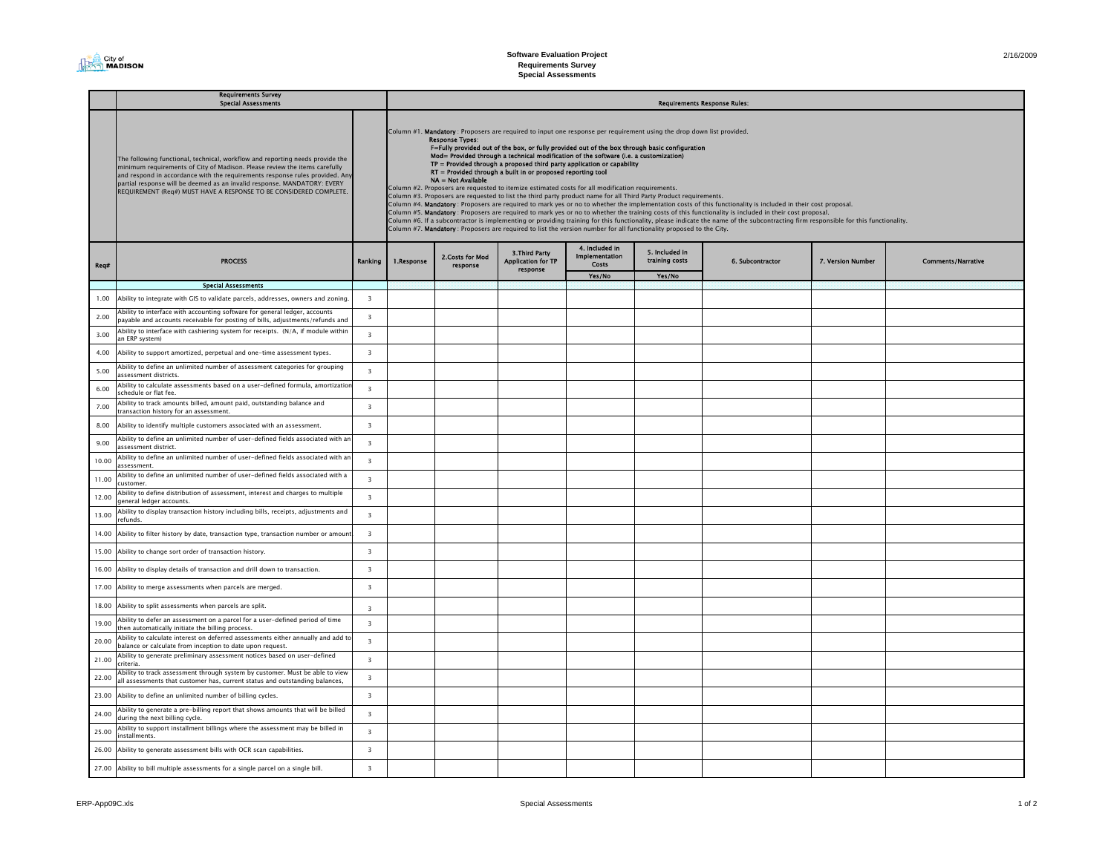| 2/16/2009 |  |
|-----------|--|

## Req# Yes/No Yes/No Special Assessments 1.00 Ability to integrate with GIS to validate parcels, addresses, owners and zoning. 3 2.00Ability to interface with accounting software for general ledger, accounts<br>payable and accounts receivable for posting of bills, adjustments/refunds and 3.00Ability to interface with cashiering system for receipts.  $(N/A)$ , if module within 3 an ERP system) 4.00 Ability to support amortized, perpetual and one-time assessment types. 3 5.00 $\frac{1}{2}$  Ability to define an unlimited number of assessment categories for grouping assessment districts. 6.00Ability to calculate assessments based on a user-defined formula, amortizatio<br>schedule or flat fee. 3 7.00Ability to track amounts billed, amount paid, outstanding balance and  $\frac{3}{3}$ 8.00 Ability to identify multiple customers associated with an assessment. 3 9.00Ability to define an unlimited number of user-defined fields associated with an  $\frac{3}{3}$ 10.00 Ability to define an unlimited number of user-defined fields associated with an assessment.3 11.00 Ability to define an unlimited number of user-defined fields associated with a .<br>ustomer  $\frac{1}{\sqrt{1-\frac{1}{\sqrt{1-\frac{1}{\sqrt{1-\frac{1}{\sqrt{1-\frac{1}{\sqrt{1-\frac{1}{\sqrt{1-\frac{1}{\sqrt{1-\frac{1}{\sqrt{1-\frac{1}{\sqrt{1-\frac{1}{\sqrt{1-\frac{1}{\sqrt{1-\frac{1}{\sqrt{1-\frac{1}{\sqrt{1-\frac{1}{\sqrt{1-\frac{1}{\sqrt{1-\frac{1}{\sqrt{1-\frac{1}{\sqrt{1-\frac{1}{\sqrt{1-\frac{1}{\sqrt{1-\frac{1}{\sqrt{1-\frac{1}{\sqrt{1-\frac{1}{\sqrt{1-\frac{1}{\sqrt{1-\frac{1}{\sqrt{1-\frac{1$ 3 12.0013.00 $\frac{1}{10}$  Ability to display transaction history including bills, receipts, adjustments and  $\frac{3}{10}$ 14.00 Ability to filter history by date, transaction type, transaction number or amount. 3 15.00 Ability to change sort order of transaction history. 16.00 Ability to display details of transaction and drill down to transaction.  $\vert$  3 17.00 Ability to merge assessments when parcels are merged. 3 18.00 Ability to split assessments when parcels are split. 3 19.00Ability to defer an assessment on a parcel for a user-defined period of time then automatically initiate the billing process. 20.00Ability to calculate interest on deferred assessments either annually and add to 3<br>balance or calculate from inception to date upon request. 21.00Ability to generate preliminary assessment notices based on user-defined<br>criteria <sup>3</sup>3 22.00Ability to track assessment through system by customer. Must be able to view and assessments that customer has, current status and outstanding balances,  $\frac{3}{2}$ 23.00 Ability to define an unlimited number of billing cycles. 3 24.00Ability to generate a pre-billing report that shows amounts that will be billed  $\frac{3}{3}$ 25.00 $\frac{1}{10}$  Ability to support installment billings where the assessment may be billed in  $\frac{3}{10}$ 26.00 Ability to generate assessment bills with OCR scan capabilities. 3 27.00 Ability to bill multiple assessments for a single parcel on a single bill. 3 Requirements Survey Special Assessments The following functional, technical, workflow and reporting needs provide the minimum requirements of City of Madison. Please review the items carefully and respond in accordance with the requirements response rules provided. An partial response will be deemed as an invalid response. MANDATORY: EVERY REQUIREMENT (Req#) MUST HAVE A RESPONSE TO BE CONSIDERED COMPLETE. PROCESS Column #1. Mandatory : Proposers are required to input one response per requirement using the drop down list provided.<br> **F-Fully provided out of the box, or fully provided out of the box through basic configuration**<br> **Mode** Column #2. Proposers are requested to itemize estimated costs for all modification requirements. Column #3. Proposers are requested to list the third party product name for all Third Party Product requirements. Column #4. **Mandatory** : Proposers are required to mark yes or no to whether the implementation costs of this functionality is included in their cost proposal.<br>Column #5**. Mandatory** : Proposers are required to mark yes o Column #7. Mandatory : Proposers are required to list the version number for all functionality proposed to the City. 7. Version Nu Requirements Response Rules: 4. Included in Implementation Costs 5. Included in training costs 6. Subcontractor 2.Costs for Mod | 3.Third Party | Implementation | 5. Included in<br>Costs | 6. Subcontracto | Costs | 6. Subcontracto | 6. Subcontracto response response 1.Response Comments/Narrative | Application for TP | Contractor | Comments/Narrative | Comments/Narrative | Comments/Narrative